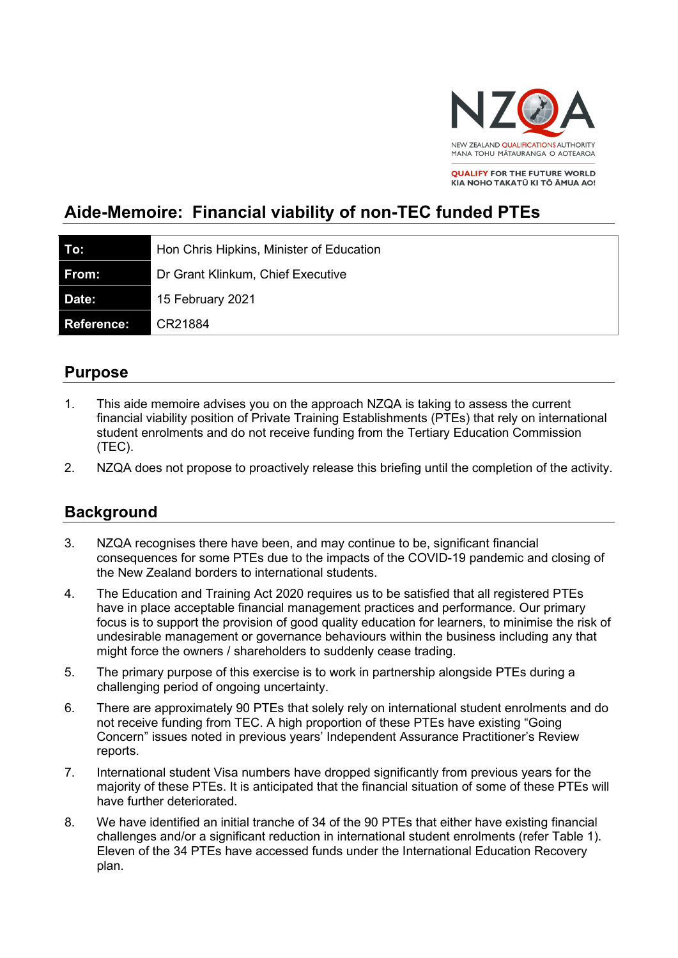

**OUALIEY FOR THE EUTURE WORLD** KIA NOHO TAKATŪ KI TŌ ĀMUA AO!

# **Aide-Memoire: Financial viability of non-TEC funded PTEs**

| To:        | Hon Chris Hipkins, Minister of Education |
|------------|------------------------------------------|
| From:      | Dr Grant Klinkum, Chief Executive        |
| Date:      | 15 February 2021                         |
| Reference: | CR21884                                  |

## **Purpose**

- 1. This aide memoire advises you on the approach NZQA is taking to assess the current financial viability position of Private Training Establishments (PTEs) that rely on international student enrolments and do not receive funding from the Tertiary Education Commission (TEC).
- 2. NZQA does not propose to proactively release this briefing until the completion of the activity.

## **Background**

- 3. NZQA recognises there have been, and may continue to be, significant financial consequences for some PTEs due to the impacts of the COVID-19 pandemic and closing of the New Zealand borders to international students.
- 4. The Education and Training Act 2020 requires us to be satisfied that all registered PTEs have in place acceptable financial management practices and performance. Our primary focus is to support the provision of good quality education for learners, to minimise the risk of undesirable management or governance behaviours within the business including any that might force the owners / shareholders to suddenly cease trading.
- 5. The primary purpose of this exercise is to work in partnership alongside PTEs during a challenging period of ongoing uncertainty.
- 6. There are approximately 90 PTEs that solely rely on international student enrolments and do not receive funding from TEC. A high proportion of these PTEs have existing "Going Concern" issues noted in previous years' Independent Assurance Practitioner's Review reports.
- 7. International student Visa numbers have dropped significantly from previous years for the majority of these PTEs. It is anticipated that the financial situation of some of these PTEs will have further deteriorated.
- 8. We have identified an initial tranche of 34 of the 90 PTEs that either have existing financial challenges and/or a significant reduction in international student enrolments (refer Table 1). Eleven of the 34 PTEs have accessed funds under the International Education Recovery plan.